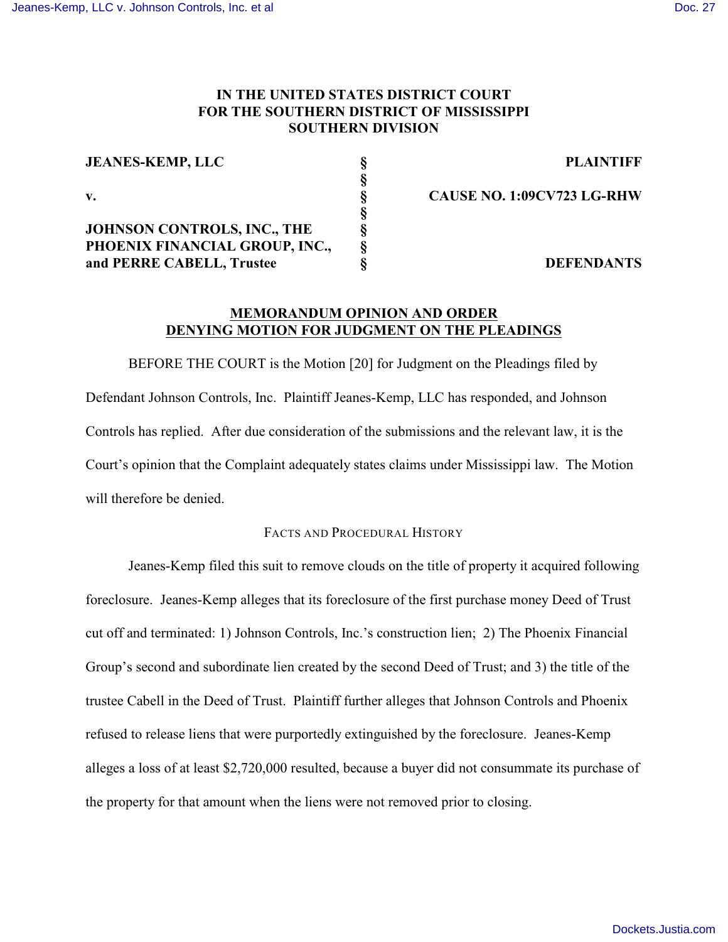# **IN THE UNITED STATES DISTRICT COURT FOR THE SOUTHERN DISTRICT OF MISSISSIPPI SOUTHERN DIVISION**

| <b>JEANES-KEMP, LLC</b>        | <b>PLAINTIFF</b>                  |
|--------------------------------|-----------------------------------|
|                                |                                   |
|                                | <b>CAUSE NO. 1:09CV723 LG-RHW</b> |
|                                |                                   |
| JOHNSON CONTROLS, INC., THE    |                                   |
| PHOENIX FINANCIAL GROUP, INC., |                                   |
| and PERRE CABELL, Trustee      | <b>DEFENDANTS</b>                 |

**JEANES-KEMP, LLC § PLAINTIFF**

# **MEMORANDUM OPINION AND ORDER DENYING MOTION FOR JUDGMENT ON THE PLEADINGS**

BEFORE THE COURT is the Motion [20] for Judgment on the Pleadings filed by Defendant Johnson Controls, Inc. Plaintiff Jeanes-Kemp, LLC has responded, and Johnson Controls has replied. After due consideration of the submissions and the relevant law, it is the Court's opinion that the Complaint adequately states claims under Mississippi law. The Motion will therefore be denied.

# FACTS AND PROCEDURAL HISTORY

Jeanes-Kemp filed this suit to remove clouds on the title of property it acquired following foreclosure. Jeanes-Kemp alleges that its foreclosure of the first purchase money Deed of Trust cut off and terminated: 1) Johnson Controls, Inc.'s construction lien; 2) The Phoenix Financial Group's second and subordinate lien created by the second Deed of Trust; and 3) the title of the trustee Cabell in the Deed of Trust. Plaintiff further alleges that Johnson Controls and Phoenix refused to release liens that were purportedly extinguished by the foreclosure. Jeanes-Kemp alleges a loss of at least \$2,720,000 resulted, because a buyer did not consummate its purchase of the property for that amount when the liens were not removed prior to closing.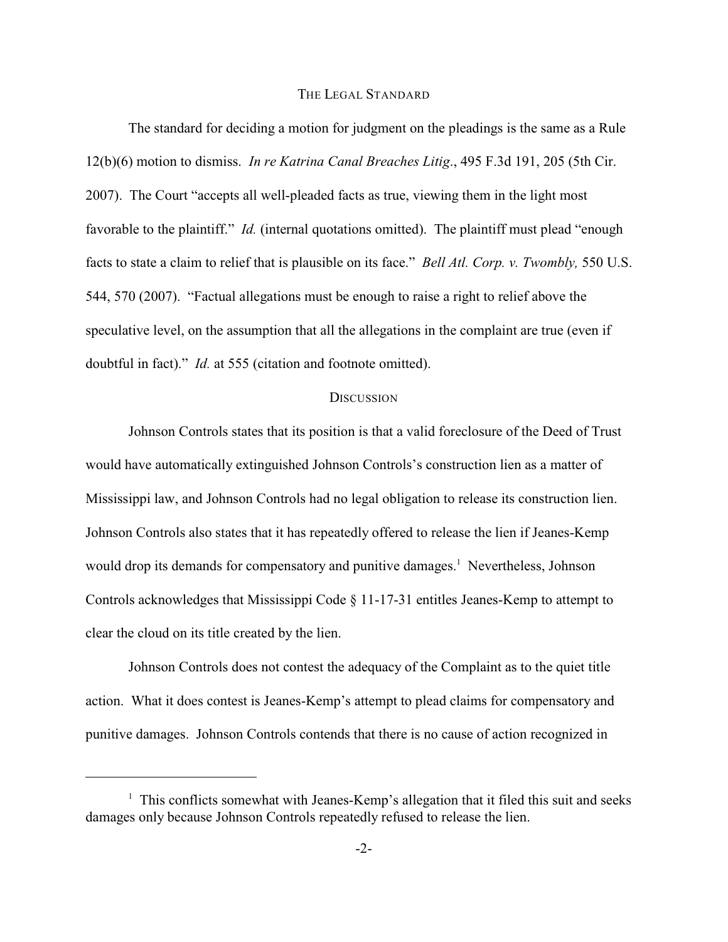#### THE LEGAL STANDARD

The standard for deciding a motion for judgment on the pleadings is the same as a Rule 12(b)(6) motion to dismiss. *In re Katrina Canal Breaches Litig*., 495 F.3d 191, 205 (5th Cir. 2007). The Court "accepts all well-pleaded facts as true, viewing them in the light most favorable to the plaintiff." *Id.* (internal quotations omitted). The plaintiff must plead "enough facts to state a claim to relief that is plausible on its face." *Bell Atl. Corp. v. Twombly,* 550 U.S. 544, 570 (2007). "Factual allegations must be enough to raise a right to relief above the speculative level, on the assumption that all the allegations in the complaint are true (even if doubtful in fact)." *Id.* at 555 (citation and footnote omitted).

#### **DISCUSSION**

Johnson Controls states that its position is that a valid foreclosure of the Deed of Trust would have automatically extinguished Johnson Controls's construction lien as a matter of Mississippi law, and Johnson Controls had no legal obligation to release its construction lien. Johnson Controls also states that it has repeatedly offered to release the lien if Jeanes-Kemp would drop its demands for compensatory and punitive damages.<sup>1</sup> Nevertheless, Johnson Controls acknowledges that Mississippi Code § 11-17-31 entitles Jeanes-Kemp to attempt to clear the cloud on its title created by the lien.

Johnson Controls does not contest the adequacy of the Complaint as to the quiet title action. What it does contest is Jeanes-Kemp's attempt to plead claims for compensatory and punitive damages. Johnson Controls contends that there is no cause of action recognized in

 $<sup>1</sup>$  This conflicts somewhat with Jeanes-Kemp's allegation that it filed this suit and seeks</sup> damages only because Johnson Controls repeatedly refused to release the lien.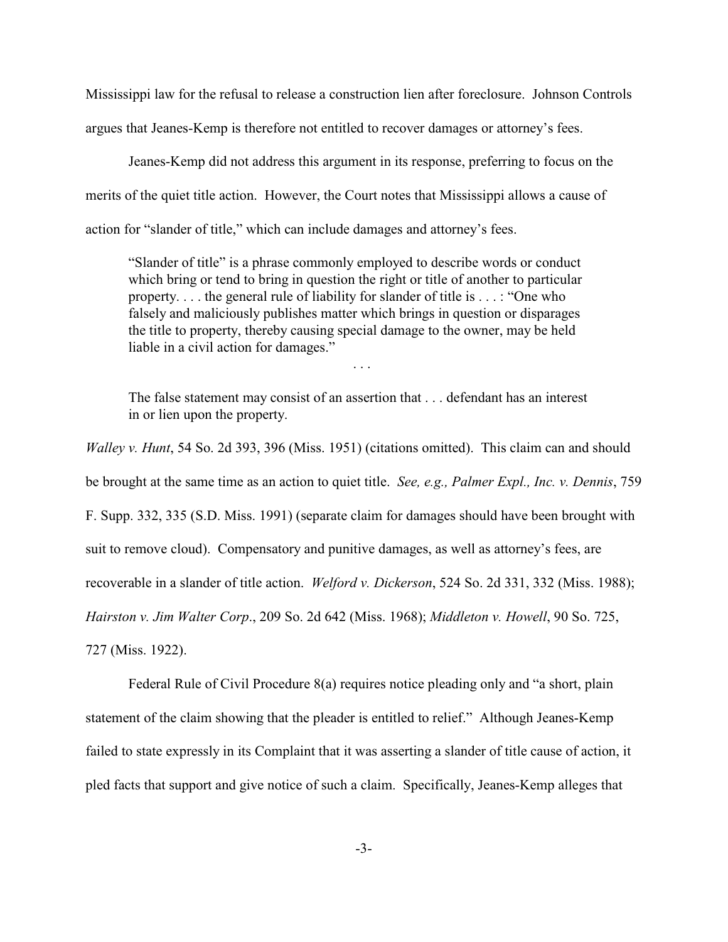Mississippi law for the refusal to release a construction lien after foreclosure. Johnson Controls argues that Jeanes-Kemp is therefore not entitled to recover damages or attorney's fees.

Jeanes-Kemp did not address this argument in its response, preferring to focus on the merits of the quiet title action. However, the Court notes that Mississippi allows a cause of action for "slander of title," which can include damages and attorney's fees.

"Slander of title" is a phrase commonly employed to describe words or conduct which bring or tend to bring in question the right or title of another to particular property. . . . the general rule of liability for slander of title is . . . : "One who falsely and maliciously publishes matter which brings in question or disparages the title to property, thereby causing special damage to the owner, may be held liable in a civil action for damages."

. . .

The false statement may consist of an assertion that . . . defendant has an interest in or lien upon the property.

*Walley v. Hunt*, 54 So. 2d 393, 396 (Miss. 1951) (citations omitted). This claim can and should be brought at the same time as an action to quiet title. *See, e.g., Palmer Expl., Inc. v. Dennis*, 759 F. Supp. 332, 335 (S.D. Miss. 1991) (separate claim for damages should have been brought with suit to remove cloud). Compensatory and punitive damages, as well as attorney's fees, are recoverable in a slander of title action. *Welford v. Dickerson*, 524 So. 2d 331, 332 (Miss. 1988); *Hairston v. Jim Walter Corp*., 209 So. 2d 642 (Miss. 1968); *Middleton v. Howell*, 90 So. 725, 727 (Miss. 1922).

Federal Rule of Civil Procedure 8(a) requires notice pleading only and "a short, plain statement of the claim showing that the pleader is entitled to relief." Although Jeanes-Kemp failed to state expressly in its Complaint that it was asserting a slander of title cause of action, it pled facts that support and give notice of such a claim. Specifically, Jeanes-Kemp alleges that